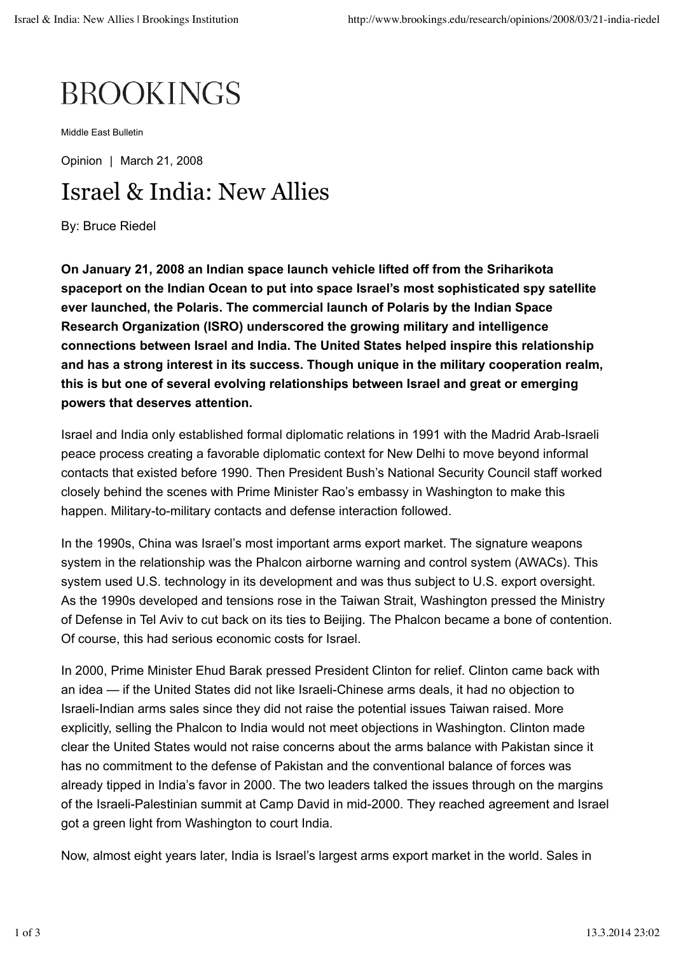## **BROOKINGS**

Middle East Bulletin

Opinion | March 21, 2008

## Israel & India: New Allies

By: Bruce Riedel

**On January 21, 2008 an Indian space launch vehicle lifted off from the Sriharikota spaceport on the Indian Ocean to put into space Israel's most sophisticated spy satellite ever launched, the Polaris. The commercial launch of Polaris by the Indian Space Research Organization (ISRO) underscored the growing military and intelligence connections between Israel and India. The United States helped inspire this relationship and has a strong interest in its success. Though unique in the military cooperation realm, this is but one of several evolving relationships between Israel and great or emerging powers that deserves attention.**

Israel and India only established formal diplomatic relations in 1991 with the Madrid Arab-Israeli peace process creating a favorable diplomatic context for New Delhi to move beyond informal contacts that existed before 1990. Then President Bush's National Security Council staff worked closely behind the scenes with Prime Minister Rao's embassy in Washington to make this happen. Military-to-military contacts and defense interaction followed.

In the 1990s, China was Israel's most important arms export market. The signature weapons system in the relationship was the Phalcon airborne warning and control system (AWACs). This system used U.S. technology in its development and was thus subject to U.S. export oversight. As the 1990s developed and tensions rose in the Taiwan Strait, Washington pressed the Ministry of Defense in Tel Aviv to cut back on its ties to Beijing. The Phalcon became a bone of contention. Of course, this had serious economic costs for Israel.

In 2000, Prime Minister Ehud Barak pressed President Clinton for relief. Clinton came back with an idea — if the United States did not like Israeli-Chinese arms deals, it had no objection to Israeli-Indian arms sales since they did not raise the potential issues Taiwan raised. More explicitly, selling the Phalcon to India would not meet objections in Washington. Clinton made clear the United States would not raise concerns about the arms balance with Pakistan since it has no commitment to the defense of Pakistan and the conventional balance of forces was already tipped in India's favor in 2000. The two leaders talked the issues through on the margins of the Israeli-Palestinian summit at Camp David in mid-2000. They reached agreement and Israel got a green light from Washington to court India.

Now, almost eight years later, India is Israel's largest arms export market in the world. Sales in